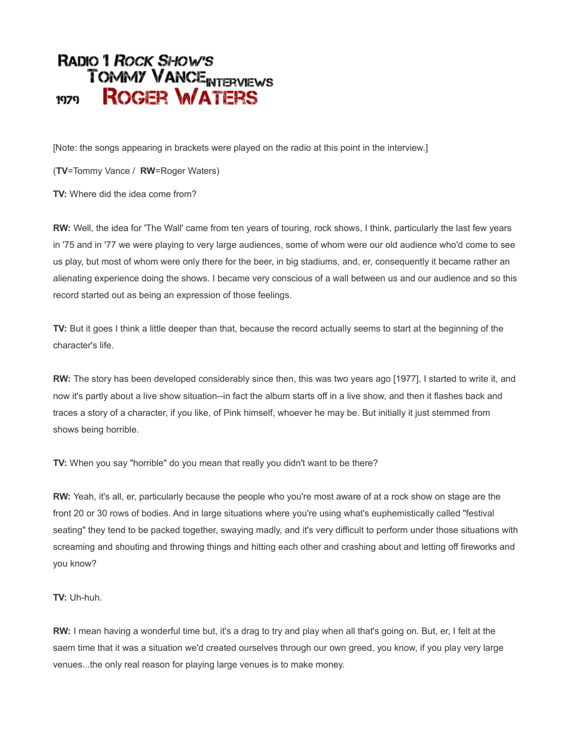# **RADIO 1 ROCK SHOW'S TOMMY VANCE NTERVIEWS ROGER WATERS** 1979

[Note: the songs appearing in brackets were played on the radio at this point in the interview.]

(**TV**=Tommy Vance / **RW**=Roger Waters)

**TV:** Where did the idea come from?

**RW:** Well, the idea for 'The Wall' came from ten years of touring, rock shows, I think, particularly the last few years in '75 and in '77 we were playing to very large audiences, some of whom were our old audience who'd come to see us play, but most of whom were only there for the beer, in big stadiums, and, er, consequently it became rather an alienating experience doing the shows. I became very conscious of a wall between us and our audience and so this record started out as being an expression of those feelings.

**TV:** But it goes I think a little deeper than that, because the record actually seems to start at the beginning of the character's life.

**RW:** The story has been developed considerably since then, this was two years ago [1977], I started to write it, and now it's partly about a live show situation--in fact the album starts off in a live show, and then it flashes back and traces a story of a character, if you like, of Pink himself, whoever he may be. But initially it just stemmed from shows being horrible.

**TV:** When you say "horrible" do you mean that really you didn't want to be there?

**RW:** Yeah, it's all, er, particularly because the people who you're most aware of at a rock show on stage are the front 20 or 30 rows of bodies. And in large situations where you're using what's euphemistically called "festival seating" they tend to be packed together, swaying madly, and it's very difficult to perform under those situations with screaming and shouting and throwing things and hitting each other and crashing about and letting off fireworks and you know?

## **TV:** Uh-huh.

**RW:** I mean having a wonderful time but, it's a drag to try and play when all that's going on. But, er, I felt at the saem time that it was a situation we'd created ourselves through our own greed, you know, if you play very large venues...the only real reason for playing large venues is to make money.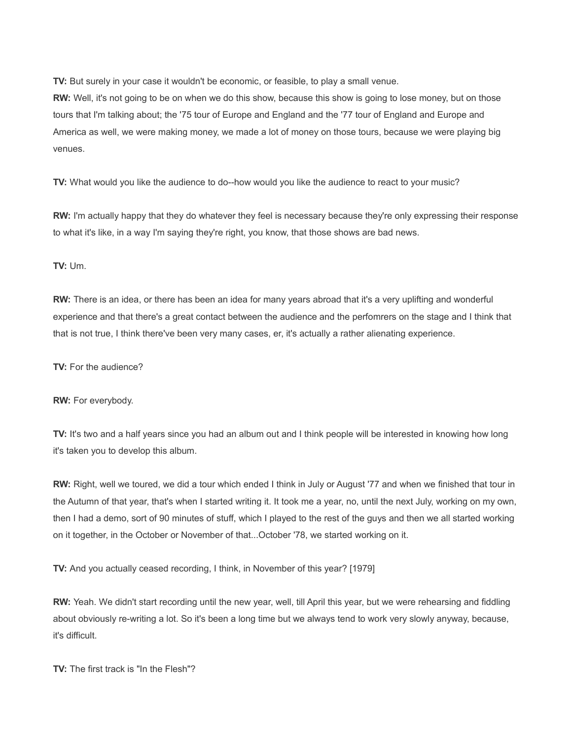**TV:** But surely in your case it wouldn't be economic, or feasible, to play a small venue.

**RW:** Well, it's not going to be on when we do this show, because this show is going to lose money, but on those tours that I'm talking about; the '75 tour of Europe and England and the '77 tour of England and Europe and America as well, we were making money, we made a lot of money on those tours, because we were playing big venues.

**TV:** What would you like the audience to do--how would you like the audience to react to your music?

**RW:** I'm actually happy that they do whatever they feel is necessary because they're only expressing their response to what it's like, in a way I'm saying they're right, you know, that those shows are bad news.

### **TV:** Um.

**RW:** There is an idea, or there has been an idea for many years abroad that it's a very uplifting and wonderful experience and that there's a great contact between the audience and the perfomrers on the stage and I think that that is not true, I think there've been very many cases, er, it's actually a rather alienating experience.

**TV:** For the audience?

**RW:** For everybody.

**TV:** It's two and a half years since you had an album out and I think people will be interested in knowing how long it's taken you to develop this album.

**RW:** Right, well we toured, we did a tour which ended I think in July or August '77 and when we finished that tour in the Autumn of that year, that's when I started writing it. It took me a year, no, until the next July, working on my own, then I had a demo, sort of 90 minutes of stuff, which I played to the rest of the guys and then we all started working on it together, in the October or November of that...October '78, we started working on it.

**TV:** And you actually ceased recording, I think, in November of this year? [1979]

**RW:** Yeah. We didn't start recording until the new year, well, till April this year, but we were rehearsing and fiddling about obviously re-writing a lot. So it's been a long time but we always tend to work very slowly anyway, because, it's difficult.

**TV:** The first track is "In the Flesh"?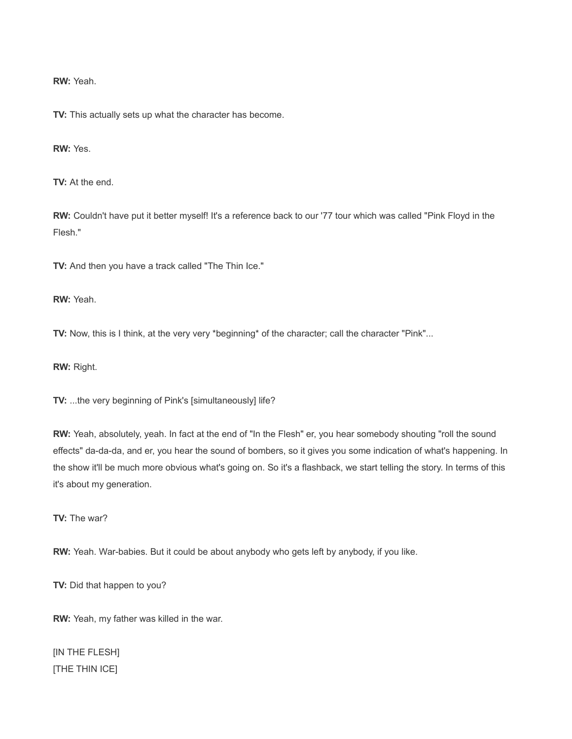**RW:** Yeah.

**TV:** This actually sets up what the character has become.

**RW:** Yes.

**TV:** At the end.

**RW:** Couldn't have put it better myself! It's a reference back to our '77 tour which was called "Pink Floyd in the Flesh."

**TV:** And then you have a track called "The Thin Ice."

**RW:** Yeah.

**TV:** Now, this is I think, at the very very \*beginning\* of the character; call the character "Pink"...

**RW:** Right.

**TV:** ...the very beginning of Pink's [simultaneously] life?

**RW:** Yeah, absolutely, yeah. In fact at the end of "In the Flesh" er, you hear somebody shouting "roll the sound effects" da-da-da, and er, you hear the sound of bombers, so it gives you some indication of what's happening. In the show it'll be much more obvious what's going on. So it's a flashback, we start telling the story. In terms of this it's about my generation.

**TV:** The war?

**RW:** Yeah. War-babies. But it could be about anybody who gets left by anybody, if you like.

**TV:** Did that happen to you?

**RW:** Yeah, my father was killed in the war.

[IN THE FLESH] [THE THIN ICE]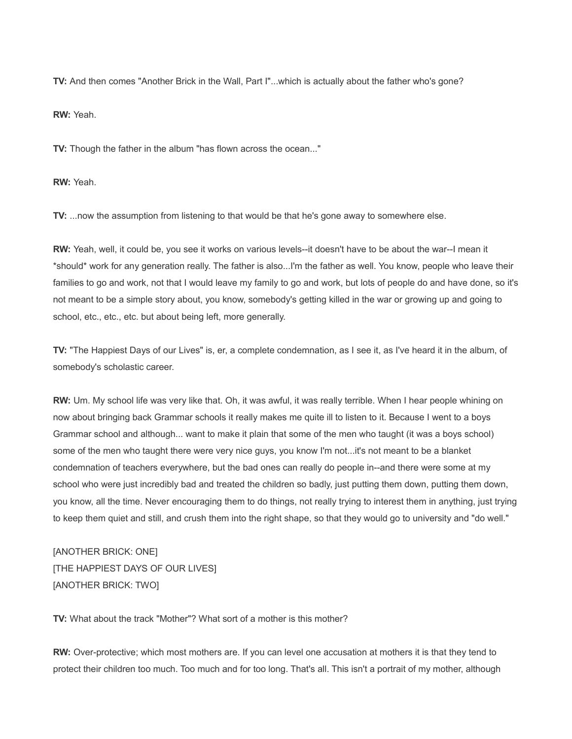**TV:** And then comes "Another Brick in the Wall, Part I"...which is actually about the father who's gone?

**RW:** Yeah.

**TV:** Though the father in the album "has flown across the ocean..."

**RW:** Yeah.

**TV:** ...now the assumption from listening to that would be that he's gone away to somewhere else.

**RW:** Yeah, well, it could be, you see it works on various levels--it doesn't have to be about the war--I mean it \*should\* work for any generation really. The father is also...I'm the father as well. You know, people who leave their families to go and work, not that I would leave my family to go and work, but lots of people do and have done, so it's not meant to be a simple story about, you know, somebody's getting killed in the war or growing up and going to school, etc., etc., etc. but about being left, more generally.

**TV:** "The Happiest Days of our Lives" is, er, a complete condemnation, as I see it, as I've heard it in the album, of somebody's scholastic career.

**RW:** Um. My school life was very like that. Oh, it was awful, it was really terrible. When I hear people whining on now about bringing back Grammar schools it really makes me quite ill to listen to it. Because I went to a boys Grammar school and although... want to make it plain that some of the men who taught (it was a boys school) some of the men who taught there were very nice guys, you know I'm not...it's not meant to be a blanket condemnation of teachers everywhere, but the bad ones can really do people in--and there were some at my school who were just incredibly bad and treated the children so badly, just putting them down, putting them down, you know, all the time. Never encouraging them to do things, not really trying to interest them in anything, just trying to keep them quiet and still, and crush them into the right shape, so that they would go to university and "do well."

[ANOTHER BRICK: ONE] [THE HAPPIEST DAYS OF OUR LIVES] [ANOTHER BRICK: TWO]

**TV:** What about the track "Mother"? What sort of a mother is this mother?

**RW:** Over-protective; which most mothers are. If you can level one accusation at mothers it is that they tend to protect their children too much. Too much and for too long. That's all. This isn't a portrait of my mother, although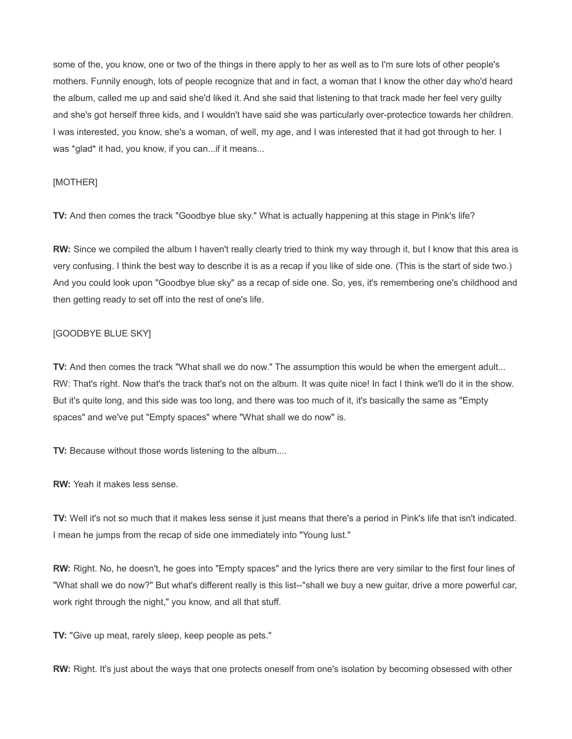some of the, you know, one or two of the things in there apply to her as well as to I'm sure lots of other people's mothers. Funnily enough, lots of people recognize that and in fact, a woman that I know the other day who'd heard the album, called me up and said she'd liked it. And she said that listening to that track made her feel very guilty and she's got herself three kids, and I wouldn't have said she was particularly over-protectice towards her children. I was interested, you know, she's a woman, of well, my age, and I was interested that it had got through to her. I was \*glad\* it had, you know, if you can...if it means...

### [MOTHER]

**TV:** And then comes the track "Goodbye blue sky." What is actually happening at this stage in Pink's life?

**RW:** Since we compiled the album I haven't really clearly tried to think my way through it, but I know that this area is very confusing. I think the best way to describe it is as a recap if you like of side one. (This is the start of side two.) And you could look upon "Goodbye blue sky" as a recap of side one. So, yes, it's remembering one's childhood and then getting ready to set off into the rest of one's life.

### [GOODBYE BLUE SKY]

**TV:** And then comes the track "What shall we do now." The assumption this would be when the emergent adult... RW: That's right. Now that's the track that's not on the album. It was quite nice! In fact I think we'll do it in the show. But it's quite long, and this side was too long, and there was too much of it, it's basically the same as "Empty spaces" and we've put "Empty spaces" where "What shall we do now" is.

**TV:** Because without those words listening to the album....

**RW:** Yeah it makes less sense.

**TV:** Well it's not so much that it makes less sense it just means that there's a period in Pink's life that isn't indicated. I mean he jumps from the recap of side one immediately into "Young lust."

**RW:** Right. No, he doesn't, he goes into "Empty spaces" and the lyrics there are very similar to the first four lines of "What shall we do now?" But what's different really is this list--"shall we buy a new guitar, drive a more powerful car, work right through the night," you know, and all that stuff.

**TV:** "Give up meat, rarely sleep, keep people as pets."

**RW:** Right. It's just about the ways that one protects oneself from one's isolation by becoming obsessed with other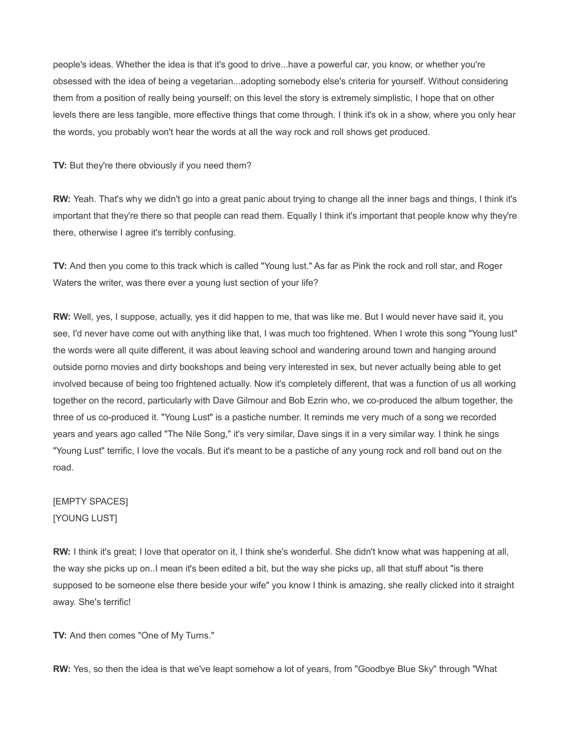people's ideas. Whether the idea is that it's good to drive...have a powerful car, you know, or whether you're obsessed with the idea of being a vegetarian...adopting somebody else's criteria for yourself. Without considering them from a position of really being yourself; on this level the story is extremely simplistic, I hope that on other levels there are less tangible, more effective things that come through. I think it's ok in a show, where you only hear the words, you probably won't hear the words at all the way rock and roll shows get produced.

**TV:** But they're there obviously if you need them?

**RW:** Yeah. That's why we didn't go into a great panic about trying to change all the inner bags and things, I think it's important that they're there so that people can read them. Equally I think it's important that people know why they're there, otherwise I agree it's terribly confusing.

**TV:** And then you come to this track which is called "Young lust." As far as Pink the rock and roll star, and Roger Waters the writer, was there ever a young lust section of your life?

**RW:** Well, yes, I suppose, actually, yes it did happen to me, that was like me. But I would never have said it, you see, I'd never have come out with anything like that, I was much too frightened. When I wrote this song "Young lust" the words were all quite different, it was about leaving school and wandering around town and hanging around outside porno movies and dirty bookshops and being very interested in sex, but never actually being able to get involved because of being too frightened actually. Now it's completely different, that was a function of us all working together on the record, particularly with Dave Gilmour and Bob Ezrin who, we co-produced the album together, the three of us co-produced it. "Young Lust" is a pastiche number. It reminds me very much of a song we recorded years and years ago called "The Nile Song," it's very similar, Dave sings it in a very similar way. I think he sings "Young Lust" terrific, I love the vocals. But it's meant to be a pastiche of any young rock and roll band out on the road.

## [EMPTY SPACES] [YOUNG LUST]

**RW:** I think it's great; I love that operator on it, I think she's wonderful. She didn't know what was happening at all, the way she picks up on..I mean it's been edited a bit, but the way she picks up, all that stuff about "is there supposed to be someone else there beside your wife" you know I think is amazing, she really clicked into it straight away. She's terrific!

**TV:** And then comes "One of My Turns."

**RW:** Yes, so then the idea is that we've leapt somehow a lot of years, from "Goodbye Blue Sky" through "What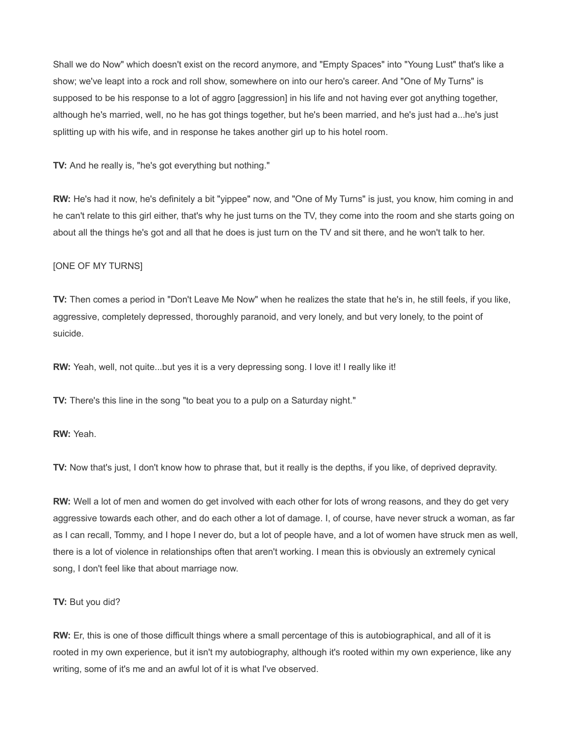Shall we do Now" which doesn't exist on the record anymore, and "Empty Spaces" into "Young Lust" that's like a show; we've leapt into a rock and roll show, somewhere on into our hero's career. And "One of My Turns" is supposed to be his response to a lot of aggro [aggression] in his life and not having ever got anything together, although he's married, well, no he has got things together, but he's been married, and he's just had a...he's just splitting up with his wife, and in response he takes another girl up to his hotel room.

**TV:** And he really is, "he's got everything but nothing."

**RW:** He's had it now, he's definitely a bit "yippee" now, and "One of My Turns" is just, you know, him coming in and he can't relate to this girl either, that's why he just turns on the TV, they come into the room and she starts going on about all the things he's got and all that he does is just turn on the TV and sit there, and he won't talk to her.

### [ONE OF MY TURNS]

**TV:** Then comes a period in "Don't Leave Me Now" when he realizes the state that he's in, he still feels, if you like, aggressive, completely depressed, thoroughly paranoid, and very lonely, and but very lonely, to the point of suicide.

**RW:** Yeah, well, not quite...but yes it is a very depressing song. I love it! I really like it!

**TV:** There's this line in the song "to beat you to a pulp on a Saturday night."

**RW:** Yeah.

**TV:** Now that's just, I don't know how to phrase that, but it really is the depths, if you like, of deprived depravity.

**RW:** Well a lot of men and women do get involved with each other for lots of wrong reasons, and they do get very aggressive towards each other, and do each other a lot of damage. I, of course, have never struck a woman, as far as I can recall, Tommy, and I hope I never do, but a lot of people have, and a lot of women have struck men as well, there is a lot of violence in relationships often that aren't working. I mean this is obviously an extremely cynical song, I don't feel like that about marriage now.

### **TV:** But you did?

**RW:** Er, this is one of those difficult things where a small percentage of this is autobiographical, and all of it is rooted in my own experience, but it isn't my autobiography, although it's rooted within my own experience, like any writing, some of it's me and an awful lot of it is what I've observed.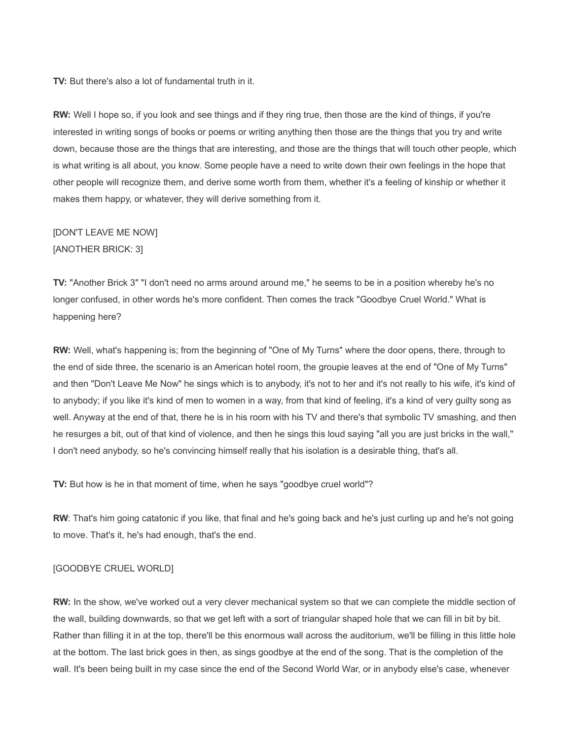**TV:** But there's also a lot of fundamental truth in it.

**RW:** Well I hope so, if you look and see things and if they ring true, then those are the kind of things, if you're interested in writing songs of books or poems or writing anything then those are the things that you try and write down, because those are the things that are interesting, and those are the things that will touch other people, which is what writing is all about, you know. Some people have a need to write down their own feelings in the hope that other people will recognize them, and derive some worth from them, whether it's a feeling of kinship or whether it makes them happy, or whatever, they will derive something from it.

## [DON'T LEAVE ME NOW] [ANOTHER BRICK: 3]

**TV:** "Another Brick 3" "I don't need no arms around around me," he seems to be in a position whereby he's no longer confused, in other words he's more confident. Then comes the track "Goodbye Cruel World." What is happening here?

**RW:** Well, what's happening is; from the beginning of "One of My Turns" where the door opens, there, through to the end of side three, the scenario is an American hotel room, the groupie leaves at the end of "One of My Turns" and then "Don't Leave Me Now" he sings which is to anybody, it's not to her and it's not really to his wife, it's kind of to anybody; if you like it's kind of men to women in a way, from that kind of feeling, it's a kind of very guilty song as well. Anyway at the end of that, there he is in his room with his TV and there's that symbolic TV smashing, and then he resurges a bit, out of that kind of violence, and then he sings this loud saying "all you are just bricks in the wall," I don't need anybody, so he's convincing himself really that his isolation is a desirable thing, that's all.

**TV:** But how is he in that moment of time, when he says "goodbye cruel world"?

**RW**: That's him going catatonic if you like, that final and he's going back and he's just curling up and he's not going to move. That's it, he's had enough, that's the end.

### [GOODBYE CRUEL WORLD]

**RW:** In the show, we've worked out a very clever mechanical system so that we can complete the middle section of the wall, building downwards, so that we get left with a sort of triangular shaped hole that we can fill in bit by bit. Rather than filling it in at the top, there'll be this enormous wall across the auditorium, we'll be filling in this little hole at the bottom. The last brick goes in then, as sings goodbye at the end of the song. That is the completion of the wall. It's been being built in my case since the end of the Second World War, or in anybody else's case, whenever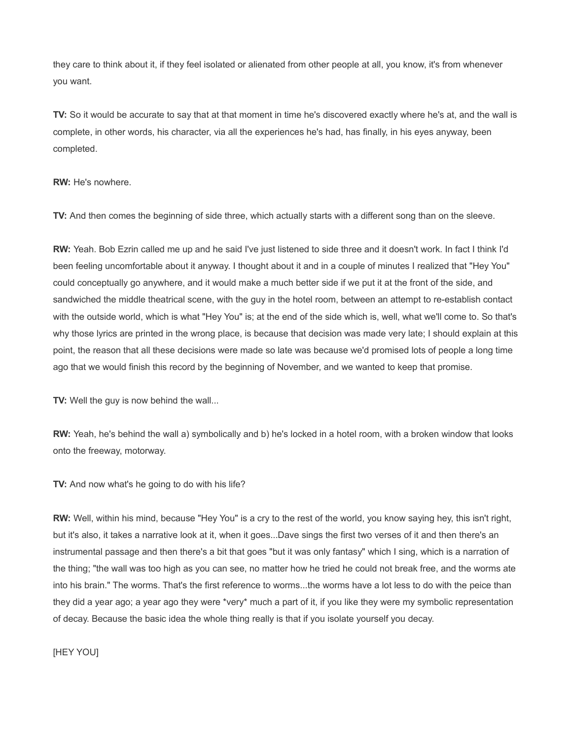they care to think about it, if they feel isolated or alienated from other people at all, you know, it's from whenever you want.

**TV:** So it would be accurate to say that at that moment in time he's discovered exactly where he's at, and the wall is complete, in other words, his character, via all the experiences he's had, has finally, in his eyes anyway, been completed.

### **RW:** He's nowhere.

**TV:** And then comes the beginning of side three, which actually starts with a different song than on the sleeve.

**RW:** Yeah. Bob Ezrin called me up and he said I've just listened to side three and it doesn't work. In fact I think I'd been feeling uncomfortable about it anyway. I thought about it and in a couple of minutes I realized that "Hey You" could conceptually go anywhere, and it would make a much better side if we put it at the front of the side, and sandwiched the middle theatrical scene, with the guy in the hotel room, between an attempt to re-establish contact with the outside world, which is what "Hey You" is; at the end of the side which is, well, what we'll come to. So that's why those lyrics are printed in the wrong place, is because that decision was made very late; I should explain at this point, the reason that all these decisions were made so late was because we'd promised lots of people a long time ago that we would finish this record by the beginning of November, and we wanted to keep that promise.

**TV:** Well the guy is now behind the wall...

**RW:** Yeah, he's behind the wall a) symbolically and b) he's locked in a hotel room, with a broken window that looks onto the freeway, motorway.

**TV:** And now what's he going to do with his life?

**RW:** Well, within his mind, because "Hey You" is a cry to the rest of the world, you know saying hey, this isn't right, but it's also, it takes a narrative look at it, when it goes...Dave sings the first two verses of it and then there's an instrumental passage and then there's a bit that goes "but it was only fantasy" which I sing, which is a narration of the thing; "the wall was too high as you can see, no matter how he tried he could not break free, and the worms ate into his brain." The worms. That's the first reference to worms...the worms have a lot less to do with the peice than they did a year ago; a year ago they were \*very\* much a part of it, if you like they were my symbolic representation of decay. Because the basic idea the whole thing really is that if you isolate yourself you decay.

[HEY YOU]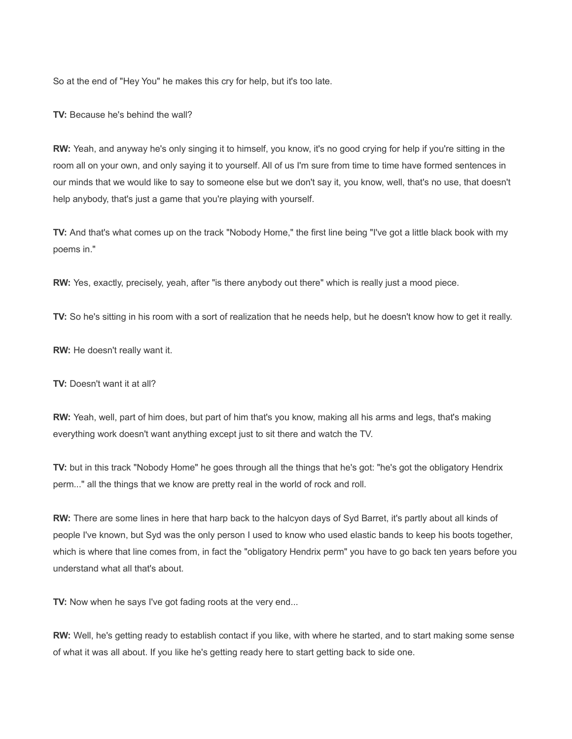So at the end of "Hey You" he makes this cry for help, but it's too late.

**TV:** Because he's behind the wall?

**RW:** Yeah, and anyway he's only singing it to himself, you know, it's no good crying for help if you're sitting in the room all on your own, and only saying it to yourself. All of us I'm sure from time to time have formed sentences in our minds that we would like to say to someone else but we don't say it, you know, well, that's no use, that doesn't help anybody, that's just a game that you're playing with yourself.

**TV:** And that's what comes up on the track "Nobody Home," the first line being "I've got a little black book with my poems in."

**RW:** Yes, exactly, precisely, yeah, after "is there anybody out there" which is really just a mood piece.

**TV:** So he's sitting in his room with a sort of realization that he needs help, but he doesn't know how to get it really.

**RW:** He doesn't really want it.

**TV:** Doesn't want it at all?

**RW:** Yeah, well, part of him does, but part of him that's you know, making all his arms and legs, that's making everything work doesn't want anything except just to sit there and watch the TV.

**TV:** but in this track "Nobody Home" he goes through all the things that he's got: "he's got the obligatory Hendrix perm..." all the things that we know are pretty real in the world of rock and roll.

**RW:** There are some lines in here that harp back to the halcyon days of Syd Barret, it's partly about all kinds of people I've known, but Syd was the only person I used to know who used elastic bands to keep his boots together, which is where that line comes from, in fact the "obligatory Hendrix perm" you have to go back ten years before you understand what all that's about.

**TV:** Now when he says I've got fading roots at the very end...

**RW:** Well, he's getting ready to establish contact if you like, with where he started, and to start making some sense of what it was all about. If you like he's getting ready here to start getting back to side one.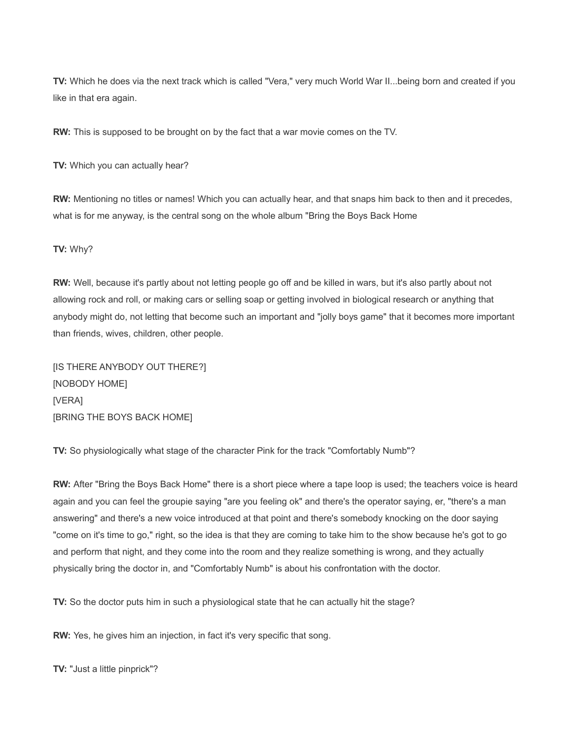**TV:** Which he does via the next track which is called "Vera," very much World War II...being born and created if you like in that era again.

**RW:** This is supposed to be brought on by the fact that a war movie comes on the TV.

**TV:** Which you can actually hear?

**RW:** Mentioning no titles or names! Which you can actually hear, and that snaps him back to then and it precedes, what is for me anyway, is the central song on the whole album "Bring the Boys Back Home

### **TV:** Why?

**RW:** Well, because it's partly about not letting people go off and be killed in wars, but it's also partly about not allowing rock and roll, or making cars or selling soap or getting involved in biological research or anything that anybody might do, not letting that become such an important and "jolly boys game" that it becomes more important than friends, wives, children, other people.

[IS THERE ANYBODY OUT THERE?] [NOBODY HOME] [VERA] [BRING THE BOYS BACK HOME]

**TV:** So physiologically what stage of the character Pink for the track "Comfortably Numb"?

**RW:** After "Bring the Boys Back Home" there is a short piece where a tape loop is used; the teachers voice is heard again and you can feel the groupie saying "are you feeling ok" and there's the operator saying, er, "there's a man answering" and there's a new voice introduced at that point and there's somebody knocking on the door saying "come on it's time to go," right, so the idea is that they are coming to take him to the show because he's got to go and perform that night, and they come into the room and they realize something is wrong, and they actually physically bring the doctor in, and "Comfortably Numb" is about his confrontation with the doctor.

**TV:** So the doctor puts him in such a physiological state that he can actually hit the stage?

**RW:** Yes, he gives him an injection, in fact it's very specific that song.

**TV:** "Just a little pinprick"?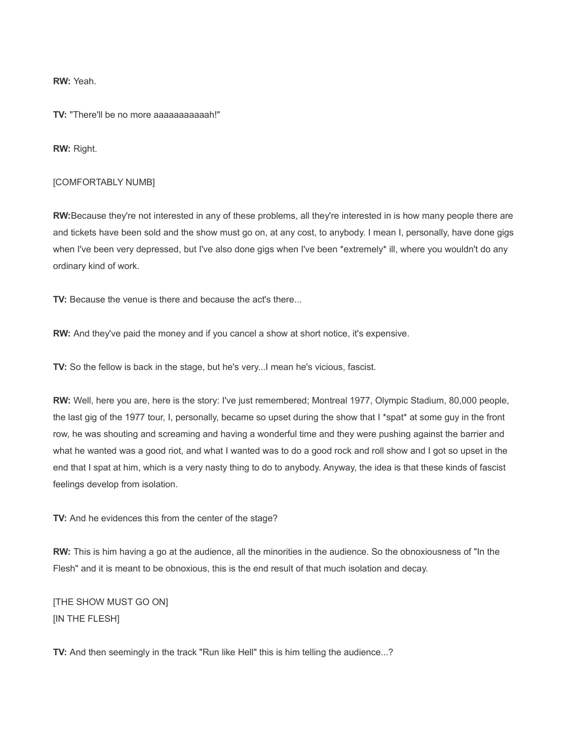**RW:** Yeah.

**TV:** "There'll be no more aaaaaaaaaaah!"

**RW:** Right.

#### [COMFORTABLY NUMB]

**RW:**Because they're not interested in any of these problems, all they're interested in is how many people there are and tickets have been sold and the show must go on, at any cost, to anybody. I mean I, personally, have done gigs when I've been very depressed, but I've also done gigs when I've been \*extremely\* ill, where you wouldn't do any ordinary kind of work.

**TV:** Because the venue is there and because the act's there...

**RW:** And they've paid the money and if you cancel a show at short notice, it's expensive.

**TV:** So the fellow is back in the stage, but he's very...I mean he's vicious, fascist.

**RW:** Well, here you are, here is the story: I've just remembered; Montreal 1977, Olympic Stadium, 80,000 people, the last gig of the 1977 tour, I, personally, became so upset during the show that I \*spat\* at some guy in the front row, he was shouting and screaming and having a wonderful time and they were pushing against the barrier and what he wanted was a good riot, and what I wanted was to do a good rock and roll show and I got so upset in the end that I spat at him, which is a very nasty thing to do to anybody. Anyway, the idea is that these kinds of fascist feelings develop from isolation.

**TV:** And he evidences this from the center of the stage?

**RW:** This is him having a go at the audience, all the minorities in the audience. So the obnoxiousness of "In the Flesh" and it is meant to be obnoxious, this is the end result of that much isolation and decay.

[THE SHOW MUST GO ON] [IN THE FLESH]

**TV:** And then seemingly in the track "Run like Hell" this is him telling the audience...?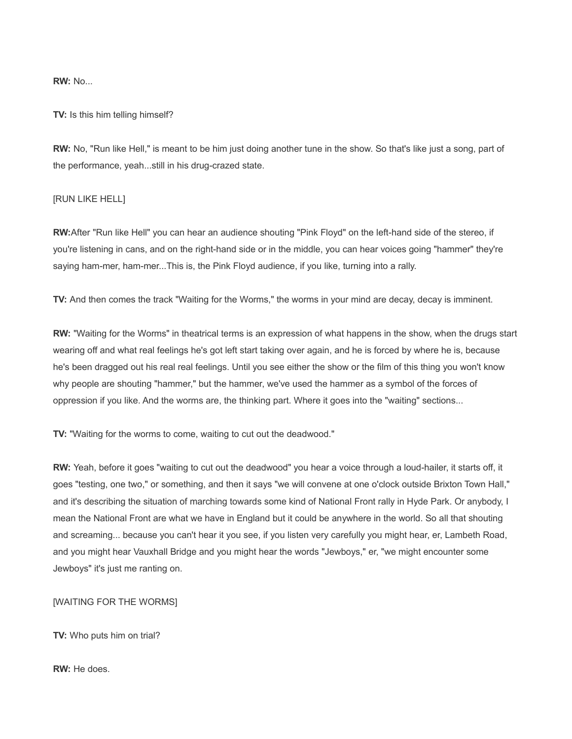**RW:** No...

**TV:** Is this him telling himself?

**RW:** No, "Run like Hell," is meant to be him just doing another tune in the show. So that's like just a song, part of the performance, yeah...still in his drug-crazed state.

### [RUN LIKE HELL]

**RW:**After "Run like Hell" you can hear an audience shouting "Pink Floyd" on the left-hand side of the stereo, if you're listening in cans, and on the right-hand side or in the middle, you can hear voices going "hammer" they're saying ham-mer, ham-mer...This is, the Pink Floyd audience, if you like, turning into a rally.

**TV:** And then comes the track "Waiting for the Worms," the worms in your mind are decay, decay is imminent.

**RW:** "Waiting for the Worms" in theatrical terms is an expression of what happens in the show, when the drugs start wearing off and what real feelings he's got left start taking over again, and he is forced by where he is, because he's been dragged out his real real feelings. Until you see either the show or the film of this thing you won't know why people are shouting "hammer," but the hammer, we've used the hammer as a symbol of the forces of oppression if you like. And the worms are, the thinking part. Where it goes into the "waiting" sections...

**TV:** "Waiting for the worms to come, waiting to cut out the deadwood."

**RW:** Yeah, before it goes "waiting to cut out the deadwood" you hear a voice through a loud-hailer, it starts off, it goes "testing, one two," or something, and then it says "we will convene at one o'clock outside Brixton Town Hall," and it's describing the situation of marching towards some kind of National Front rally in Hyde Park. Or anybody, I mean the National Front are what we have in England but it could be anywhere in the world. So all that shouting and screaming... because you can't hear it you see, if you listen very carefully you might hear, er, Lambeth Road, and you might hear Vauxhall Bridge and you might hear the words "Jewboys," er, "we might encounter some Jewboys" it's just me ranting on.

[WAITING FOR THE WORMS]

**TV:** Who puts him on trial?

**RW:** He does.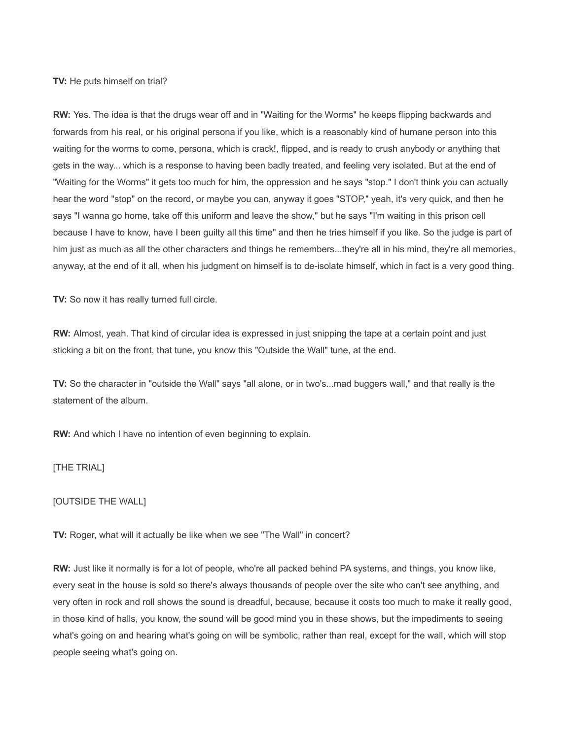### **TV:** He puts himself on trial?

**RW:** Yes. The idea is that the drugs wear off and in "Waiting for the Worms" he keeps flipping backwards and forwards from his real, or his original persona if you like, which is a reasonably kind of humane person into this waiting for the worms to come, persona, which is crack!, flipped, and is ready to crush anybody or anything that gets in the way... which is a response to having been badly treated, and feeling very isolated. But at the end of "Waiting for the Worms" it gets too much for him, the oppression and he says "stop." I don't think you can actually hear the word "stop" on the record, or maybe you can, anyway it goes "STOP," yeah, it's very quick, and then he says "I wanna go home, take off this uniform and leave the show," but he says "I'm waiting in this prison cell because I have to know, have I been guilty all this time" and then he tries himself if you like. So the judge is part of him just as much as all the other characters and things he remembers...they're all in his mind, they're all memories, anyway, at the end of it all, when his judgment on himself is to de-isolate himself, which in fact is a very good thing.

**TV:** So now it has really turned full circle.

**RW:** Almost, yeah. That kind of circular idea is expressed in just snipping the tape at a certain point and just sticking a bit on the front, that tune, you know this "Outside the Wall" tune, at the end.

**TV:** So the character in "outside the Wall" says "all alone, or in two's...mad buggers wall," and that really is the statement of the album.

**RW:** And which I have no intention of even beginning to explain.

[THE TRIAL]

[OUTSIDE THE WALL]

**TV:** Roger, what will it actually be like when we see "The Wall" in concert?

**RW:** Just like it normally is for a lot of people, who're all packed behind PA systems, and things, you know like, every seat in the house is sold so there's always thousands of people over the site who can't see anything, and very often in rock and roll shows the sound is dreadful, because, because it costs too much to make it really good, in those kind of halls, you know, the sound will be good mind you in these shows, but the impediments to seeing what's going on and hearing what's going on will be symbolic, rather than real, except for the wall, which will stop people seeing what's going on.